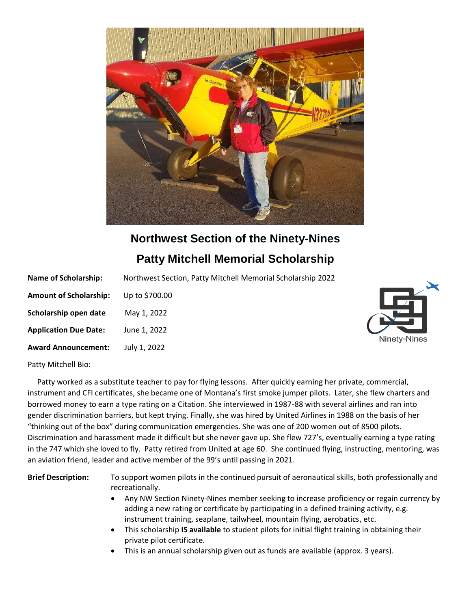

# **Northwest Section of the Ninety-Nines**

## **Patty Mitchell Memorial Scholarship**

| <b>Name of Scholarship:</b>   | Northwest Section, Patty Mitchell Memorial Scholarship 2022 |  |
|-------------------------------|-------------------------------------------------------------|--|
| <b>Amount of Scholarship:</b> | Up to \$700.00                                              |  |
| Scholarship open date         | May 1, 2022                                                 |  |
| <b>Application Due Date:</b>  | June 1, 2022                                                |  |
| <b>Award Announcement:</b>    | July 1, 2022                                                |  |



Patty Mitchell Bio:

 Patty worked as a substitute teacher to pay for flying lessons. After quickly earning her private, commercial, instrument and CFI certificates, she became one of Montana's first smoke jumper pilots. Later, she flew charters and borrowed money to earn a type rating on a Citation. She interviewed in 1987-88 with several airlines and ran into gender discrimination barriers, but kept trying. Finally, she was hired by United Airlines in 1988 on the basis of her "thinking out of the box" during communication emergencies. She was one of 200 women out of 8500 pilots. Discrimination and harassment made it difficult but she never gave up. She flew 727's, eventually earning a type rating in the 747 which she loved to fly. Patty retired from United at age 60. She continued flying, instructing, mentoring, was an aviation friend, leader and active member of the 99's until passing in 2021.

**Brief Description:** To support women pilots in the continued pursuit of aeronautical skills, both professionally and recreationally.

- Any NW Section Ninety-Nines member seeking to increase proficiency or regain currency by adding a new rating or certificate by participating in a defined training activity, e.g. instrument training, seaplane, tailwheel, mountain flying, aerobatics, etc.
- This scholarship **IS available** to student pilots for initial flight training in obtaining their private pilot certificate.
- This is an annual scholarship given out as funds are available (approx. 3 years).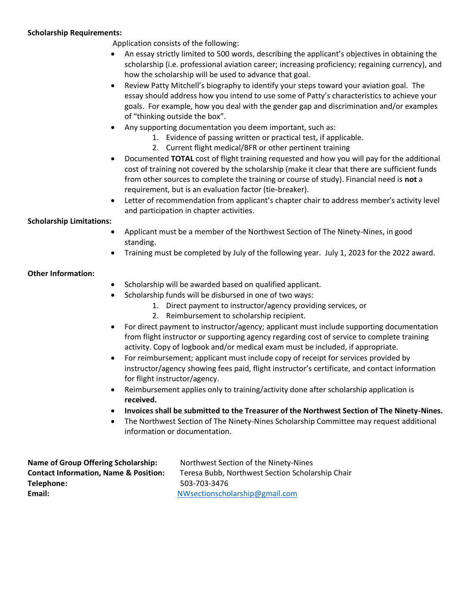#### **Scholarship Requirements:**

Application consists of the following:

- An essay strictly limited to 500 words, describing the applicant's objectives in obtaining the scholarship (i.e. professional aviation career; increasing proficiency; regaining currency), and how the scholarship will be used to advance that goal.
- Review Patty Mitchell's biography to identify your steps toward your aviation goal. The essay should address how you intend to use some of Patty's characteristics to achieve your goals. For example, how you deal with the gender gap and discrimination and/or examples of "thinking outside the box".
- Any supporting documentation you deem important, such as:
	- 1. Evidence of passing written or practical test, if applicable.
	- 2. Current flight medical/BFR or other pertinent training
- Documented **TOTAL** cost of flight training requested and how you will pay for the additional cost of training not covered by the scholarship (make it clear that there are sufficient funds from other sources to complete the training or course of study). Financial need is **not** a requirement, but is an evaluation factor (tie-breaker).
- Letter of recommendation from applicant's chapter chair to address member's activity level and participation in chapter activities.

### **Scholarship Limitations:**

- Applicant must be a member of the Northwest Section of The Ninety-Nines, in good standing.
- Training must be completed by July of the following year. July 1, 2023 for the 2022 award.

### **Other Information:**

- Scholarship will be awarded based on qualified applicant.
- Scholarship funds will be disbursed in one of two ways:
	- 1. Direct payment to instructor/agency providing services, or
	- 2. Reimbursement to scholarship recipient.
- For direct payment to instructor/agency; applicant must include supporting documentation from flight instructor or supporting agency regarding cost of service to complete training activity. Copy of logbook and/or medical exam must be included, if appropriate.
- For reimbursement; applicant must include copy of receipt for services provided by instructor/agency showing fees paid, flight instructor's certificate, and contact information for flight instructor/agency.
- Reimbursement applies only to training/activity done after scholarship application is **received.**
- **Invoices shall be submitted to the Treasurer of the Northwest Section of The Ninety-Nines.**
- The Northwest Section of The Ninety-Nines Scholarship Committee may request additional information or documentation.

| Name of Group Offering Scholarship:              | Northwest Section of the Ninety-Nines            |  |
|--------------------------------------------------|--------------------------------------------------|--|
| <b>Contact Information, Name &amp; Position:</b> | Teresa Bubb, Northwest Section Scholarship Chair |  |
| Telephone:                                       | 503-703-3476                                     |  |
| Email:                                           | NWsectionscholarship@gmail.com                   |  |